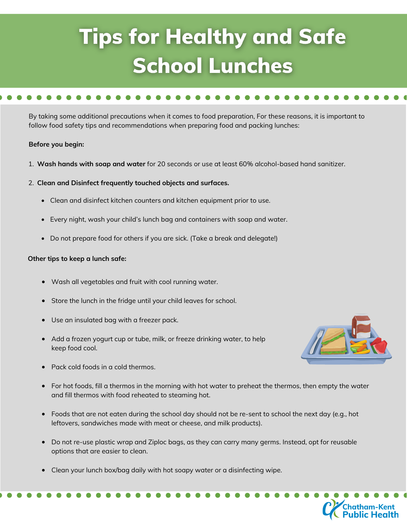# **Tips for Healthy and Safe School Lunches**

By taking some additional precautions when it comes to food preparation, For these reasons, it is important to follow food safety tips and recommendations when preparing food and packing lunches:

### **Before you begin:**

- 1. **Wash hands with soap and water** for 20 seconds or use at least 60% alcohol-based hand sanitizer.
- 2. **Clean and Disinfect frequently touched objects and surfaces.**
	- Clean and disinfect kitchen counters and kitchen equipment prior to use.
	- Every night, wash your child's lunch bag and containers with soap and water.
	- Do not prepare food for others if you are sick. (Take a break and delegate!)

### **Other tips to keep a lunch safe:**

- Wash all vegetables and fruit with cool running water.
- Store the lunch in the fridge until your child leaves for school.
- Use an insulated bag with a freezer pack.
- Add a frozen yogurt cup or tube, milk, or freeze drinking water, to help keep food cool.
- 

atham-Kent<br>ıblic Healtl

- Pack cold foods in a cold thermos.
- For hot foods, fill a thermos in the morning with hot water to preheat the thermos, then empty the water and fill thermos with food reheated to steaming hot.
- Foods that are not eaten during the school day should not be re-sent to school the next day (e.g., hot leftovers, sandwiches made with meat or cheese, and milk products).
- Do not re-use plastic wrap and Ziploc bags, as they can carry many germs. Instead, opt for reusable options that are easier to clean.
- Clean your lunch box/bag daily with hot soapy water or a disinfecting wipe.